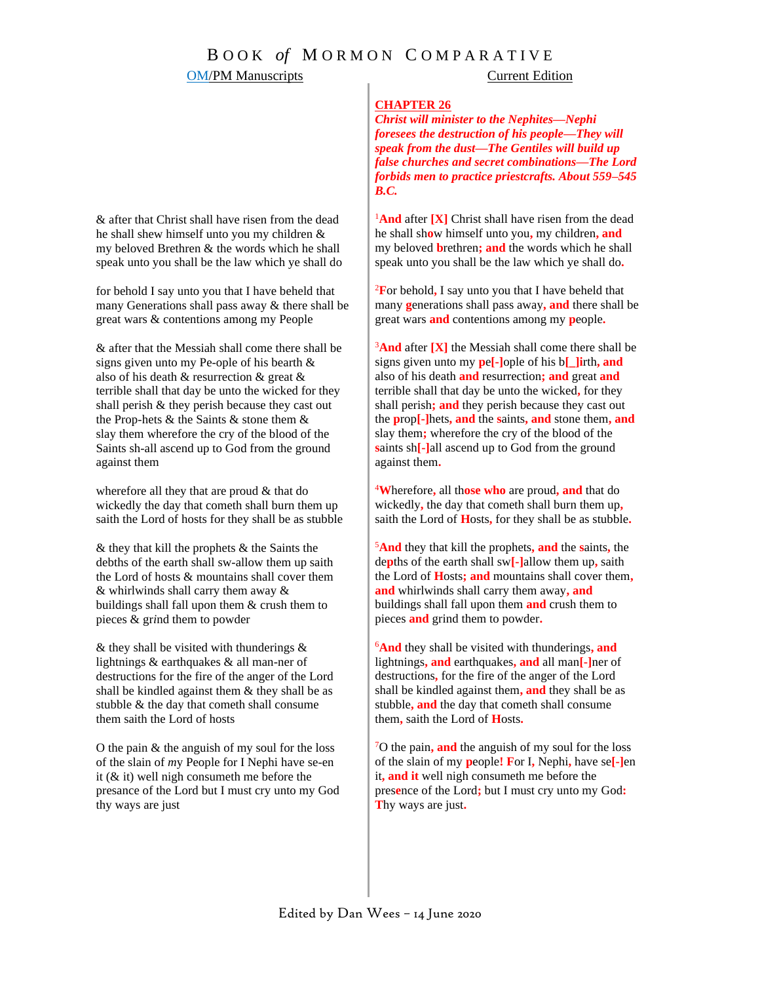### **OM/PM Manuscripts** Current Edition

#### **CHAPTER 26**

*Christ will minister to the Nephites—Nephi foresees the destruction of his people—They will speak from the dust—The Gentiles will build up false churches and secret combinations—The Lord forbids men to practice priestcrafts. About 559–545 B.C.*

<sup>1</sup>And after **[X]** Christ shall have risen from the dead he shall sh**o**w himself unto you**,** my children**, and** my beloved **b**rethren**; and** the words which he shall speak unto you shall be the law which ye shall do**.** 

<sup>2</sup>**F**or behold**,** I say unto you that I have beheld that many **g**enerations shall pass away**, and** there shall be great wars **and** contentions among my **p**eople**.**

<sup>3</sup>And after [X] the Messiah shall come there shall be signs given unto my **p**e**[-]**ople of his b**[\_]i**rth**, and**  also of his death **and** resurrection**; and** great **and**  terrible shall that day be unto the wicked**,** for they shall perish**; and** they perish because they cast out the **p**rop**[-]**hets**, and** the **s**aints**, and** stone them**, and**  slay them**;** wherefore the cry of the blood of the **s**aints sh**[-]**all ascend up to God from the ground against them**.**

<sup>4</sup>**W**herefore**,** all th**ose who** are proud**, and** that do wickedly**,** the day that cometh shall burn them up**,** saith the Lord of **H**osts**,** for they shall be as stubble**.**

<sup>5</sup>**And** they that kill the prophets**, and** the **s**aints**,** the de**p**ths of the earth shall sw**[-]**allow them up**,** saith the Lord of **H**osts**; and** mountains shall cover them**, and** whirlwinds shall carry them away**, and**  buildings shall fall upon them **and** crush them to pieces **and** grind them to powder**.**

<sup>6</sup>**And** they shall be visited with thunderings**, and** lightnings**, and** earthquakes**, and** all man**[-]**ner of destructions**,** for the fire of the anger of the Lord shall be kindled against them**, and** they shall be as stubble**, and** the day that cometh shall consume them**,** saith the Lord of **H**osts**.**

<sup>7</sup>O the pain**, and** the anguish of my soul for the loss of the slain of my **p**eople**! F**or I**,** Nephi**,** have se**[-]**en it**, and it** well nigh consumeth me before the pres**e**nce of the Lord**;** but I must cry unto my God**: T**hy ways are just**.**

& after that Christ shall have risen from the dead he shall shew himself unto you my children & my beloved Brethren & the words which he shall speak unto you shall be the law which ye shall do

for behold I say unto you that I have beheld that many Generations shall pass away & there shall be great wars & contentions among my People

& after that the Messiah shall come there shall be signs given unto my Pe-ople of his bearth & also of his death & resurrection & great & terrible shall that day be unto the wicked for they shall perish & they perish because they cast out the Prop-hets & the Saints & stone them & slay them wherefore the cry of the blood of the Saints sh-all ascend up to God from the ground against them

wherefore all they that are proud & that do wickedly the day that cometh shall burn them up saith the Lord of hosts for they shall be as stubble

& they that kill the prophets & the Saints the debths of the earth shall sw-allow them up saith the Lord of hosts & mountains shall cover them & whirlwinds shall carry them away & buildings shall fall upon them & crush them to pieces & gr*i*nd them to powder

 $\&$  they shall be visited with thunderings  $\&$ lightnings & earthquakes & all man-ner of destructions for the fire of the anger of the Lord shall be kindled against them & they shall be as stubble & the day that cometh shall consume them saith the Lord of hosts

O the pain & the anguish of my soul for the loss of the slain of *m*y People for I Nephi have se-en it (& it) well nigh consumeth me before the presance of the Lord but I must cry unto my God thy ways are just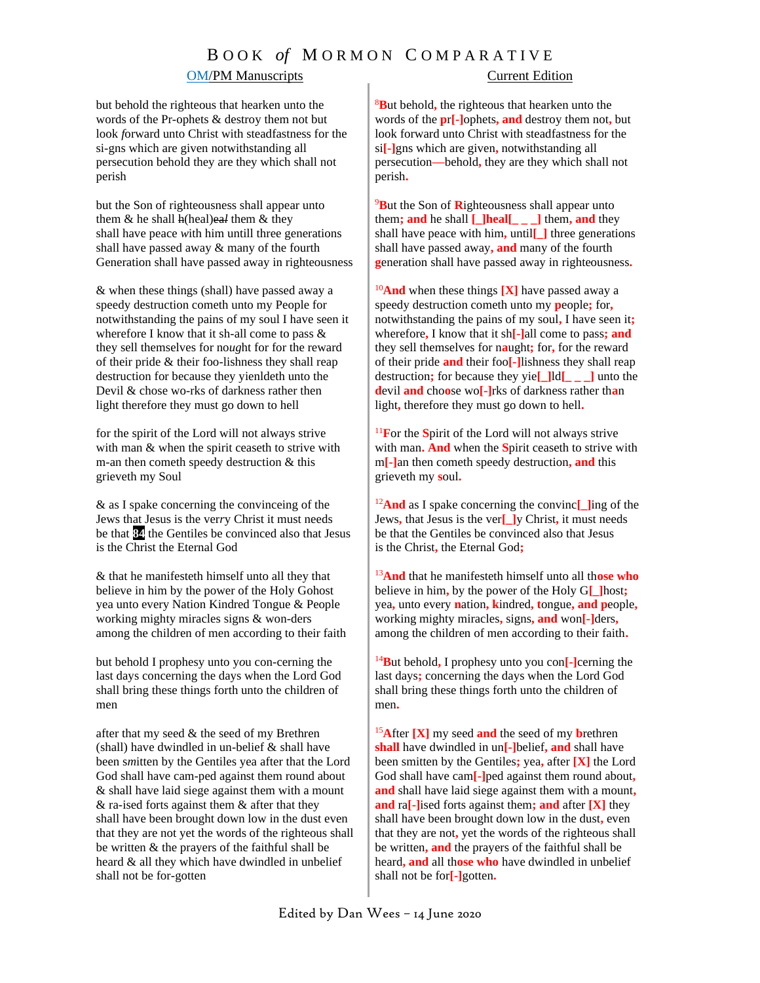### OM/PM Manuscripts Current Edition

but behold the righteous that hearken unto the words of the Pr-ophets & destroy them not but look *f*orward unto Christ with steadfastness for the si-gns which are given notwithstanding all persecution behold they are they which shall not perish

but the Son of righteousness shall appear unto them & he shall h(heal)ea*l* them & they shall have peace *w*ith him untill three generations shall have passed away & many of the fourth Generation shall have passed away in righteousness

& when these things (shall) have passed away a speedy destruction cometh unto my People for notwithstanding the pains of my soul I have seen it wherefore I know that it sh-all come to pass & they sell themselves for no*ug*ht for for the reward of their pride & their foo-lishness they shall reap destruction for because they yienldeth unto the Devil & chose wo-rks of darkness rather then light therefore they must go down to hell

for the spirit of the Lord will not always strive with man & when the spirit ceaseth to strive with m-an then cometh speedy destruction & this grieveth my Soul

& as I spake concerning the convinceing of the Jews that Jesus is the ver*r*y Christ it must needs be that **84** the Gentiles be convinced also that Jesus is the Christ the Eternal God

& that he manifesteth himself unto all they that believe in him by the power of the Holy Gohost yea unto every Nation Kindred Tongue & People working mighty miracles signs & won-ders among the children of men according to their faith

but behold I prophesy unto y*o*u con-cerning the last days concerning the days when the Lord God shall bring these things forth unto the children of men

after that my seed  $&$  the seed of my Brethren (shall) have dwindled in un-belief & shall have been s*m*itten by the Gentiles yea after that the Lord God shall have cam-ped against them round about & shall have laid siege against them with a mount  $&$  ra-ised forts against them  $&$  after that they shall have been brought down low in the dust even that they are not yet the words of the righteous shall be written & the prayers of the faithful shall be heard & all they which have dwindled in unbelief shall not be for-gotten

<sup>8</sup>**B**ut behold**,** the righteous that hearken unto the words of the **p**r**[-]**ophets**, and** destroy them not**,** but look forward unto Christ with steadfastness for the si**[-]**gns which are given**,** notwithstanding all persecution**—**behold**,** they are they which shall not perish**.**

<sup>9</sup>**B**ut the Son of **R**ighteousness shall appear unto them; and he shall  $\Box$ **heal**  $\Box$  **hem, and** they shall have peace with him**,** until**[\_]** three generations shall have passed away**, and** many of the fourth **g**eneration shall have passed away in righteousness**.**

<sup>10</sup>**And** when these things **[X]** have passed away a speedy destruction cometh unto my **p**eople**;** for**,**  notwithstanding the pains of my soul**,** I have seen it**;** wherefore**,** I know that it sh**[-]**all come to pass**; and**  they sell themselves for n**a**ught**;** for**,** for the reward of their pride **and** their foo**[-]**lishness they shall reap destruction**;** for because they yie**[\_]**ld**[\_ \_ \_]** unto the **d**evil **and** cho**o**se wo**[-]**rks of darkness rather th**a**n light**,** therefore they must go down to hell**.**

<sup>11</sup>**F**or the **S**pirit of the Lord will not always strive with man**. And** when the **S**pirit ceaseth to strive with m**[-]**an then cometh speedy destruction**, and** this grieveth my **s**oul**.** 

<sup>12</sup>**And** as I spake concerning the convinc**[\_]**ing of the Jews**,** that Jesus is the ver**[\_]**y Christ**,** it must needs be that the Gentiles be convinced also that Jesus is the Christ**,** the Eternal God**;** 

<sup>13</sup>**And** that he manifesteth himself unto all th**ose who** believe in him**,** by the power of the Holy G**[\_]**host**;** yea**,** unto every **n**ation**, k**indred**, t**ongue**, and p**eople**,** working mighty miracles**,** signs**, and** won**[-]**ders**,** among the children of men according to their faith**.** 

<sup>14</sup>**B**ut behold**,** I prophesy unto you con**[-]**cerning the last days**;** concerning the days when the Lord God shall bring these things forth unto the children of men**.** 

<sup>15</sup>**A**fter **[X]** my seed **and** the seed of my **b**rethren **shall** have dwindled in un**[-]**belief**, and** shall have been smitten by the Gentiles**;** yea**,** after **[X]** the Lord God shall have cam**[-]**ped against them round about**, and** shall have laid siege against them with a mount**, and** ra**[-]**ised forts against them**; and** after **[X]** they shall have been brought down low in the dust**,** even that they are not**,** yet the words of the righteous shall be written**, and** the prayers of the faithful shall be heard**, and** all th**ose who** have dwindled in unbelief shall not be for**[-]**gotten**.**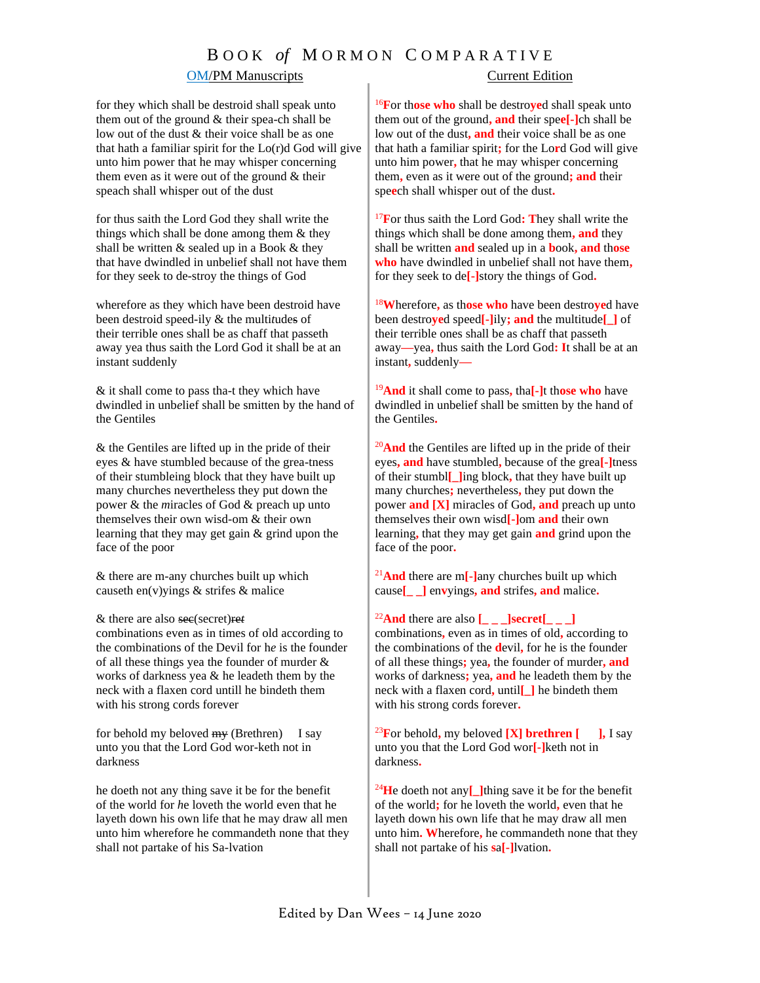### **OM/PM Manuscripts** Current Edition

for they which shall be destroid shall speak unto them out of the ground & their spea-ch shall be low out of the dust & their voice shall be as one that hath a familiar spirit for the Lo(r)d God will give unto him power that he may whisper concerning them even as it were out of the ground & their speach shall whisper out of the dust

for thus saith the Lord God they shall write the things which shall be done among them & they shall be written & sealed up in a Book & they that have dwindled in unbelief shall not have them for they seek to de-stroy the things of God

wherefore as they which have been destroid have been destroid speed-ily & the multi*t*udes of their terrible ones shall be as chaff that passeth away yea thus saith the Lord God it shall be at an instant suddenly

& it shall come to pass tha-t they which have dwindled in unb*e*lief shall be smitten by the hand of the Gentiles

& the Gentiles are lifted up in the pride of their eyes & have stumbled because of the grea-tness of their stumbleing block that they have built up many churches nevertheless they put down the power & the *m*iracles of God & preach up unto themselves their own wisd-om & their own learning that they may get gain & grind upon the face of the poor

& there are m-any churches built up which causeth en(v)yings & strifes & malice

& there are also sec(secret)re*t*

combinations even as in times of old according to the combinations of the Devil for h*e* is the founder of all these things yea the founder of murder & works of darkness yea & he leadeth them by the neck with a flaxen cord untill he bindeth them with his strong cords forever

for behold my beloved  $m_y$  (Brethren) I say unto you that the Lord God wor-keth not in darkness

he doeth not any thing save it be for the benefit of the world for *h*e loveth the world even that he layeth down his own life that he may draw all men unto him wherefore he commandeth none that they shall not partake of his Sa-lvation

<sup>16</sup>**F**or th**ose who** shall be destro**ye**d shall speak unto them out of the ground**, and** their spe**e[-]**ch shall be low out of the dust**, and** their voice shall be as one that hath a familiar spirit**;** for the Lo**r**d God will give unto him power**,** that he may whisper concerning them**,** even as it were out of the ground**; and** their spe**e**ch shall whisper out of the dust**.**

<sup>17</sup>**F**or thus saith the Lord God**: T**hey shall write the things which shall be done among them**, and** they shall be written **and** sealed up in a **b**ook**, and** th**ose who** have dwindled in unbelief shall not have them**,**  for they seek to de**[-]**story the things of God**.** 

<sup>18</sup>**W**herefore**,** as th**ose who** have been destro**ye**d have been destro**ye**d speed**[-]**ily**; and** the multitude**[\_]** of their terrible ones shall be as chaff that passeth away**—**yea**,** thus saith the Lord God**: I**t shall be at an instant**,** suddenly**—**

<sup>19</sup>**And** it shall come to pass**,** tha**[-]**t th**ose who** have dwindled in unbelief shall be smitten by the hand of the Gentiles**.**

<sup>20</sup>And the Gentiles are lifted up in the pride of their eyes**, and** have stumbled**,** because of the grea**[-]**tness of their stumbl**[\_]**ing block**,** that they have built up many churches**;** nevertheless**,** they put down the power **and [X]** miracles of God**, and** preach up unto themselves their own wisd**[-]**om **and** their own learning**,** that they may get gain **and** grind upon the face of the poor**.**

<sup>21</sup>**And** there are m**[-]**any churches built up which cause**[\_ \_]** en**v**yings**, and** strifes**, and** malice**.**

#### <sup>22</sup>**And** there are also  $\begin{bmatrix} \_ \_ \_ \end{bmatrix}$ **secret** $\begin{bmatrix} \_ \_ \end{bmatrix}$

combinations**,** even as in times of old**,** according to the combinations of the **d**evil**,** for he is the founder of all these things**;** yea**,** the founder of murder**, and**  works of darkness**;** yea**, and** he leadeth them by the neck with a flaxen cord**,** until**[\_]** he bindeth them with his strong cords forever**.**

 $^{23}$ **F**or behold, my beloved **[X] brethren [ ],** I say unto you that the Lord God wor**[-]**keth not in darkness**.**

<sup>24</sup>**H**e doeth not any**[\_]**thing save it be for the benefit of the world**;** for he loveth the world**,** even that he layeth down his own life that he may draw all men unto him**. W**herefore**,** he commandeth none that they shall not partake of his **s**a**[-]**lvation**.**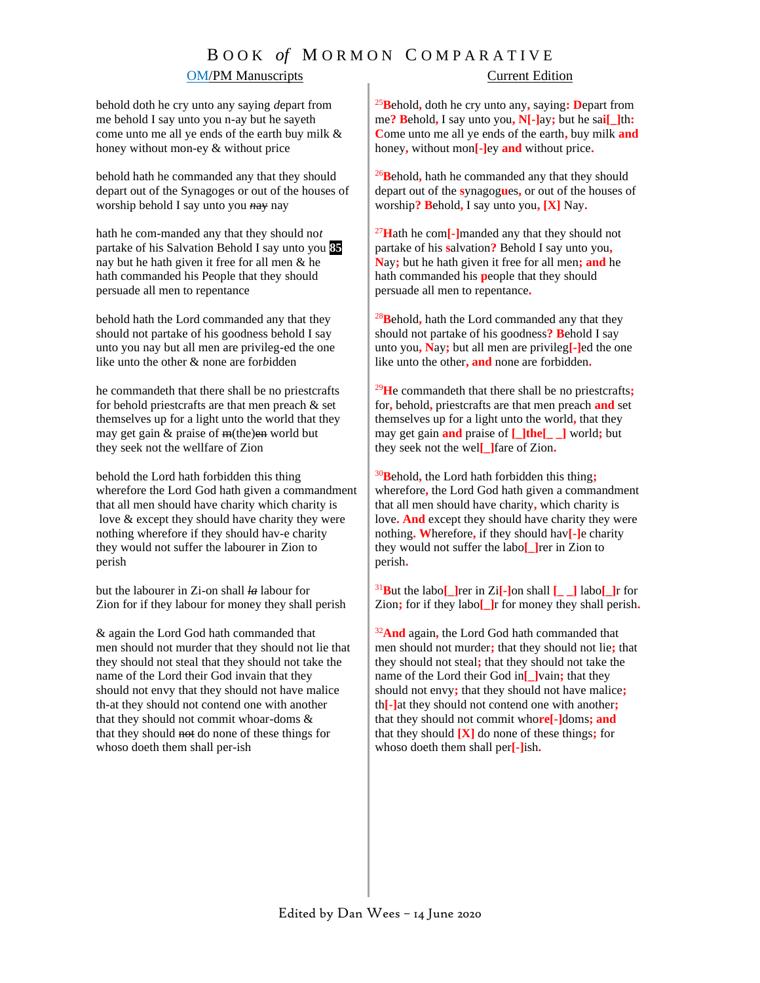### OM/PM Manuscripts Current Edition

behold doth he cry unto any saying *d*epart from me behold I say unto you n-ay but he sayeth come unto me all ye ends of the earth buy milk & honey without mon-ey & without price

behold hath he commanded any that they should depart out of the Synagoges or out of the houses of worship behold I say unto you *n*ay nay

hath he com-manded any that they should no*t* partake of his Salvation Behold I say unto you **85** nay but he hath given it free for all men & he hath commanded his People that they should persuade all men to repentance

behold hath the Lord commanded any that they should not partake of his goodness behold I say unto you nay but all men are privileg-ed the one like unto the other & none are for*b*idden

he commandeth that there shall be no priestcrafts for behold priestcrafts are that men preach & set themselves up for a light unto the world that they may get gain  $&$  praise of  $m$ (the)en world but they seek not the wellfare of Zion

behold the Lord hath forbidden this thing wherefore the Lord God hath given a commandment that all men should have charity which charity is love & except they should have charity they were nothing wherefore if they should hav-e charity they would not suffer the labourer in Zion to perish

but the labourer in Zi-on shall *la* labour for Zion for if they labour for money they shall perish

& again the Lord God hath commanded that men should not murder that they should not lie that they should not steal that they should not take the name of the Lord their God invain that they should not envy that they should not have malice th-at they should not contend one with another that they should not commit whoar-doms & that they should not do none of these things for whoso doeth them shall per-ish

<sup>25</sup>**B**ehold**,** doth he cry unto any**,** saying**: D**epart from me**? B**ehold**,** I say unto you**, N[-]**ay**;** but he sa**i[\_]**th**: C**ome unto me all ye ends of the earth**,** buy milk **and** honey**,** without mon**[-]**ey **and** without price**.** 

<sup>26</sup>**B**ehold**,** hath he commanded any that they should depart out of the **s**ynagog**u**es**,** or out of the houses of worship**? B**ehold**,** I say unto you**, [X]** Nay**.**

<sup>27</sup>**H**ath he com**[-]**manded any that they should not partake of his **s**alvation**?** Behold I say unto you**, N**ay**;** but he hath given it free for all men**; and** he hath commanded his **p**eople that they should persuade all men to repentance**.**

<sup>28</sup>**B**ehold**,** hath the Lord commanded any that they should not partake of his goodness**? B**ehold I say unto you**, N**ay**;** but all men are privileg**[-]**ed the one like unto the other**, and** none are forbidden**.**

<sup>29</sup>**H**e commandeth that there shall be no priestcrafts**;** for**,** behold**,** priestcrafts are that men preach **and** set themselves up for a light unto the world**,** that they may get gain **and** praise of **[\_]the[\_ \_]** world**;** but they seek not the wel**[\_]**fare of Zion**.**

<sup>30</sup>**B**ehold**,** the Lord hath forbidden this thing**;** wherefore**,** the Lord God hath given a commandment that all men should have charity**,** which charity is love**. And** except they should have charity they were nothing**. W**herefore**,** if they should hav**[-]**e charity they would not suffer the labo**[\_]**rer in Zion to perish**.**

<sup>31</sup>**B**ut the labo**[\_]**rer in Zi**[-]**on shall **[\_ \_]** labo**[\_]**r for Zion**;** for if they labo**[\_]**r for money they shall perish**.**

<sup>32</sup>**And** again**,** the Lord God hath commanded that men should not murder**;** that they should not lie**;** that they should not steal**;** that they should not take the name of the Lord their God in**[\_]**vain**;** that they should not envy**;** that they should not have malice**;** th**[-]**at they should not contend one with another**;** that they should not commit who**re[-]**doms**; and** that they should **[X]** do none of these things**;** for whoso doeth them shall per**[-]**ish**.**